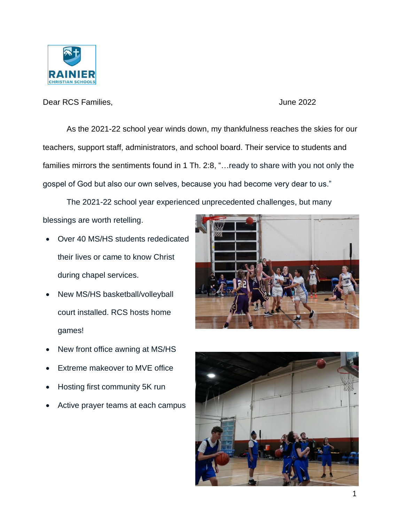

Dear RCS Families,  $\rho$  and  $\rho$  and  $\rho$  and  $\rho$  and  $\rho$  and  $\rho$  and  $\rho$  and  $\rho$  and  $\rho$  and  $\rho$  and  $\rho$  and  $\rho$  and  $\rho$  and  $\rho$  and  $\rho$  and  $\rho$  and  $\rho$  and  $\rho$  and  $\rho$  and  $\rho$  and  $\rho$  and  $\rho$  and  $\rho$ 

As the 2021-22 school year winds down, my thankfulness reaches the skies for our teachers, support staff, administrators, and school board. Their service to students and families mirrors the sentiments found in 1 Th. 2:8, "…ready to share with you not only the gospel of God but also our own selves, because you had become very dear to us."

The 2021-22 school year experienced unprecedented challenges, but many blessings are worth retelling.

- Over 40 MS/HS students rededicated their lives or came to know Christ during chapel services.
- New MS/HS basketball/volleyball court installed. RCS hosts home games!
- New front office awning at MS/HS
- Extreme makeover to MVE office
- Hosting first community 5K run
- Active prayer teams at each campus



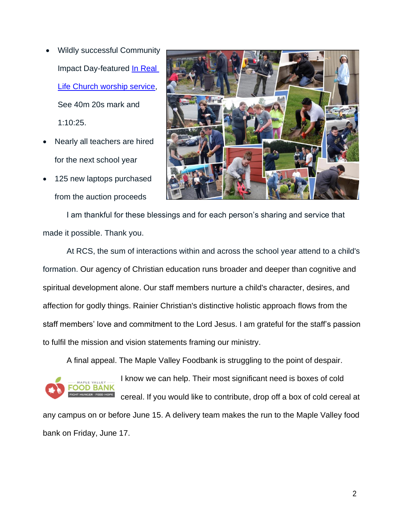- Wildly successful Community Impact Day-featured In Real [Life Church worship service,](https://www.youtube.com/watch?v=QGNaGRcQ_HY) See 40m 20s mark and 1:10:25.
- Nearly all teachers are hired for the next school year
- 125 new laptops purchased from the auction proceeds



I am thankful for these blessings and for each person's sharing and service that made it possible. Thank you.

At RCS, the sum of interactions within and across the school year attend to a child's formation. Our agency of Christian education runs broader and deeper than cognitive and spiritual development alone. Our staff members nurture a child's character, desires, and affection for godly things. Rainier Christian's distinctive holistic approach flows from the staff members' love and commitment to the Lord Jesus. I am grateful for the staff's passion to fulfil the mission and vision statements framing our ministry.

A final appeal. The Maple Valley Foodbank is struggling to the point of despair.



I know we can help. Their most significant need is boxes of cold cereal. If you would like to contribute, drop off a box of cold cereal at

any campus on or before June 15. A delivery team makes the run to the Maple Valley food bank on Friday, June 17.